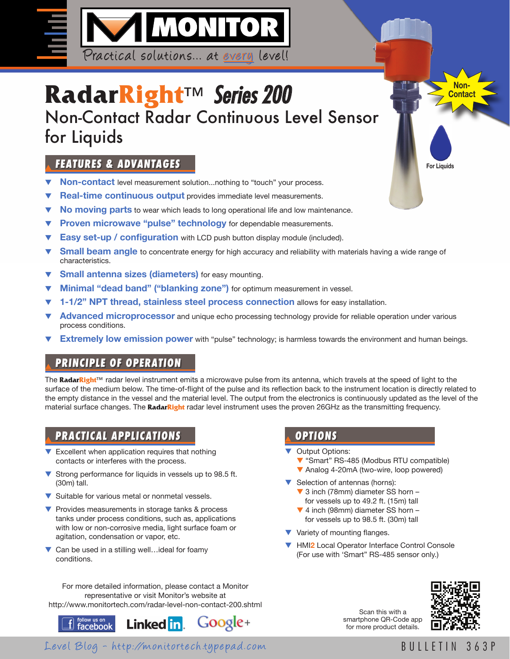

# **RadarRight™** Series 200 Non-Contact Radar Continuous Level Sensor for Liquids

# <sup>s</sup> **FEATURES & ADVANTAGES**

- **Non-contact** level measurement solution...nothing to "touch" your process.
- Real-time continuous output provides immediate level measurements.
- No moving parts to wear which leads to long operational life and low maintenance.
- **T** Proven microwave "pulse" technology for dependable measurements.
- **Easy set-up / configuration** with LCD push button display module (included).
- **Small beam angle** to concentrate energy for high accuracy and reliability with materials having a wide range of characteristics.
- **Small antenna sizes (diameters)** for easy mounting.
- **Minimal "dead band" ("blanking zone")** for optimum measurement in vessel.
- 1-1/2" NPT thread, stainless steel process connection allows for easy installation.
- Advanced microprocessor and unique echo processing technology provide for reliable operation under various process conditions.
- **T** Extremely low emission power with "pulse" technology; is harmless towards the environment and human beings.

### **PRINCIPLE OF OPERATION**

The **RadarRight™** radar level instrument emits a microwave pulse from its antenna, which travels at the speed of light to the surface of the medium below. The time-of-flight of the pulse and its reflection back to the instrument location is directly related to the empty distance in the vessel and the material level. The output from the electronics is continuously updated as the level of the material surface changes. The **RadarRight** radar level instrument uses the proven 26GHz as the transmitting frequency.

## <sup>s</sup> **PRACTICAL APPLICATIONS**

- $\blacktriangledown$  Excellent when application requires that nothing contacts or interferes with the process.
- Strong performance for liquids in vessels up to 98.5 ft. (30m) tall.
- $\blacktriangledown$  Suitable for various metal or nonmetal vessels.
- $\blacktriangledown$  Provides measurements in storage tanks & process tanks under process conditions, such as, applications with low or non-corrosive media, light surface foam or agitation, condensation or vapor, etc.
- $\blacktriangledown$  Can be used in a stilling well...ideal for foamy conditions.

For more detailed information, please contact a Monitor representative or visit Monitor's website at http://www.monitortech.com/radar-level-non-contact-200.shtml



### <sup>s</sup> **OPTIONS**

- ▼ Output Options:
	- ▼ "Smart" RS-485 (Modbus RTU compatible)
	- $\blacktriangledown$  Analog 4-20mA (two-wire, loop powered)
- $\blacktriangledown$  Selection of antennas (horns):
	- $\blacktriangledown$  3 inch (78mm) diameter SS horn for vessels up to 49.2 ft. (15m) tall
	- $\blacktriangledown$  4 inch (98mm) diameter SS horn for vessels up to 98.5 ft. (30m) tall
- $\blacktriangledown$  Variety of mounting flanges.
- **T** HMI2 Local Operator Interface Control Console (For use with 'Smart" RS-485 sensor only.)

Scan this with a smartphone QR-Code app for more product details.



**Non-Contact**

**For Liquids**

BULLETIN 363P

Level Blog - http://monitortech.typepad.com